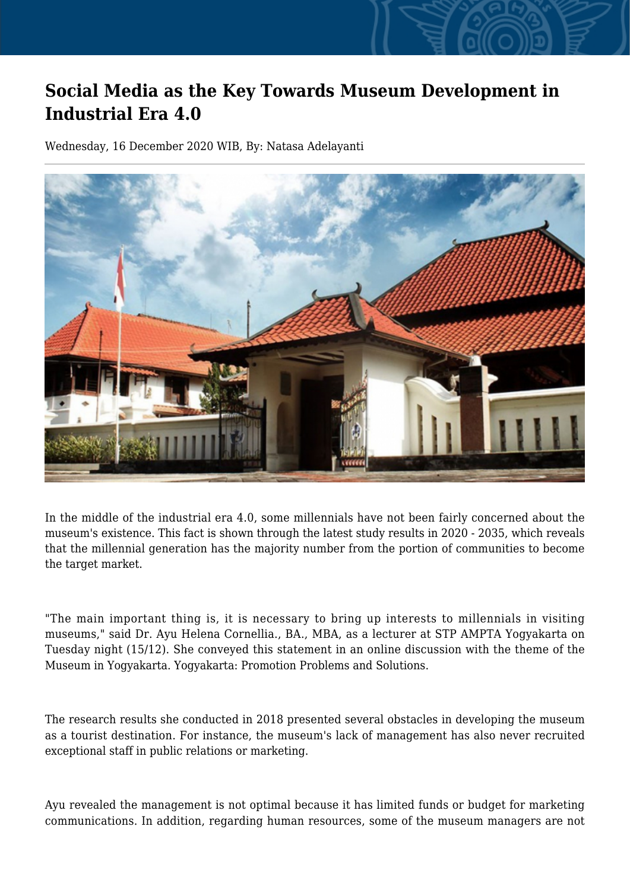## **Social Media as the Key Towards Museum Development in Industrial Era 4.0**

Wednesday, 16 December 2020 WIB, By: Natasa Adelayanti



In the middle of the industrial era 4.0, some millennials have not been fairly concerned about the museum's existence. This fact is shown through the latest study results in 2020 - 2035, which reveals that the millennial generation has the majority number from the portion of communities to become the target market.

"The main important thing is, it is necessary to bring up interests to millennials in visiting museums," said Dr. Ayu Helena Cornellia., BA., MBA, as a lecturer at STP AMPTA Yogyakarta on Tuesday night (15/12). She conveyed this statement in an online discussion with the theme of the Museum in Yogyakarta. Yogyakarta: Promotion Problems and Solutions.

The research results she conducted in 2018 presented several obstacles in developing the museum as a tourist destination. For instance, the museum's lack of management has also never recruited exceptional staff in public relations or marketing.

Ayu revealed the management is not optimal because it has limited funds or budget for marketing communications. In addition, regarding human resources, some of the museum managers are not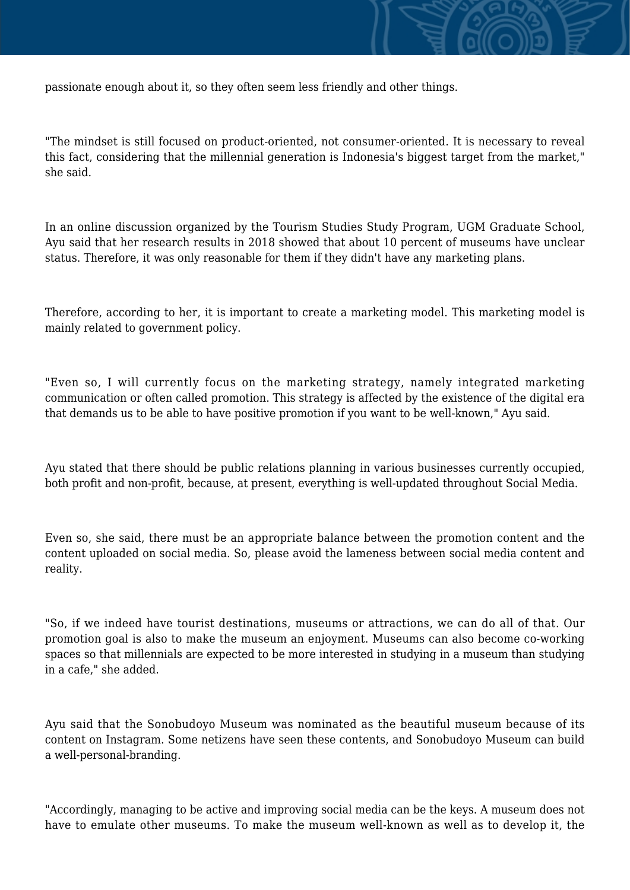

passionate enough about it, so they often seem less friendly and other things.

"The mindset is still focused on product-oriented, not consumer-oriented. It is necessary to reveal this fact, considering that the millennial generation is Indonesia's biggest target from the market," she said.

In an online discussion organized by the Tourism Studies Study Program, UGM Graduate School, Ayu said that her research results in 2018 showed that about 10 percent of museums have unclear status. Therefore, it was only reasonable for them if they didn't have any marketing plans.

Therefore, according to her, it is important to create a marketing model. This marketing model is mainly related to government policy.

"Even so, I will currently focus on the marketing strategy, namely integrated marketing communication or often called promotion. This strategy is affected by the existence of the digital era that demands us to be able to have positive promotion if you want to be well-known," Ayu said.

Ayu stated that there should be public relations planning in various businesses currently occupied, both profit and non-profit, because, at present, everything is well-updated throughout Social Media.

Even so, she said, there must be an appropriate balance between the promotion content and the content uploaded on social media. So, please avoid the lameness between social media content and reality.

"So, if we indeed have tourist destinations, museums or attractions, we can do all of that. Our promotion goal is also to make the museum an enjoyment. Museums can also become co-working spaces so that millennials are expected to be more interested in studying in a museum than studying in a cafe," she added.

Ayu said that the Sonobudoyo Museum was nominated as the beautiful museum because of its content on Instagram. Some netizens have seen these contents, and Sonobudoyo Museum can build a well-personal-branding.

"Accordingly, managing to be active and improving social media can be the keys. A museum does not have to emulate other museums. To make the museum well-known as well as to develop it, the